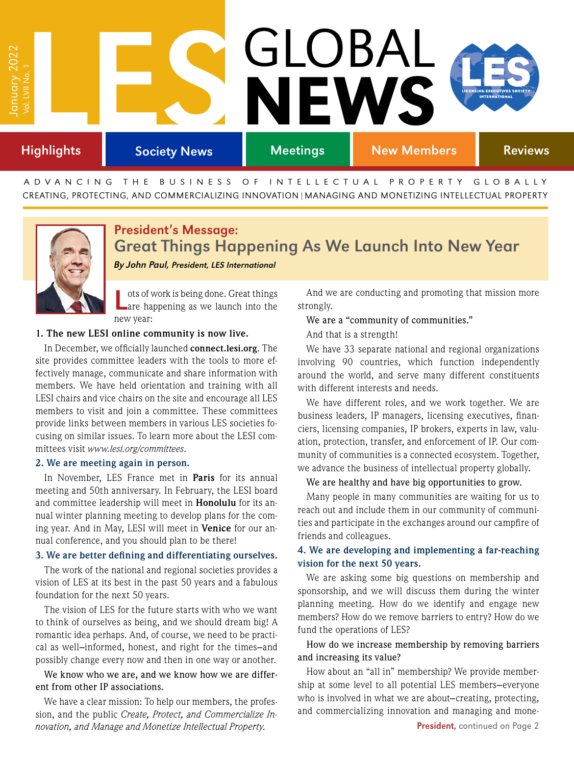# **Highlights** T<br>
Francisk Society News<br>
Highlights Society News Society News Meetings New Members Reviews January 2022 Vol. LVII No. 1 GLOBAL NEWS

ADVANCING THE BUSINESS OF INTELLECTUAL PROPERTY GLOBALLY CREATING, PROTECTING, AND COMMERCIALIZING INNOVATION|MANAGING AND MONETIZING INTELLECTUAL PROPERTY



# President's Message: Great Things Happening As We Launch Into New Year

By John Paul, President, LES International

Lots of work is being done. Great things are happening as we launch into the new year:

#### **1. The new LESI online community is now live.**

In December, we officially launched **<connect.lesi.org>**. The site provides committee leaders with the tools to more effectively manage, communicate and share information with members. We have held orientation and training with all LESI chairs and vice chairs on the site and encourage all LES members to visit and join a committee. These committees provide links between members in various LES societies focusing on similar issues. To learn more about the LESI committees visit *[www.lesi.org/committees](http://www.lesi.org/committees)*.

#### **2. We are meeting again in person.**

In November, LES France met in **Paris** for its annual meeting and 50th anniversary. In February, the LESI board and committee leadership will meet in **Honolulu** for its annual winter planning meeting to develop plans for the coming year. And in May, LESI will meet in **Venice** for our annual conference, and you should plan to be there!

#### **3. We are better defining and differentiating ourselves.**

The work of the national and regional societies provides a vision of LES at its best in the past 50 years and a fabulous foundation for the next 50 years.

The vision of LES for the future starts with who we want to think of ourselves as being, and we should dream big! A romantic idea perhaps. And, of course, we need to be practical as well**–**informed, honest, and right for the times**–**and possibly change every now and then in one way or another.

We know who we are, and we know how we are different from other IP associations.

We have a clear mission: To help our members, the profession, and the public *Create, Protect, and Commercialize Innovation, and Manage and Monetize Intellectual Property.* 

And we are conducting and promoting that mission more strongly.

We are a "community of communities."

And that is a strength!

We have 33 separate national and regional organizations involving 90 countries, which function independently around the world, and serve many different constituents with different interests and needs.

We have different roles, and we work together. We are business leaders, IP managers, licensing executives, financiers, licensing companies, IP brokers, experts in law, valuation, protection, transfer, and enforcement of IP. Our community of communities is a connected ecosystem. Together, we advance the business of intellectual property globally.

#### We are healthy and have big opportunities to grow.

Many people in many communities are waiting for us to reach out and include them in our community of communities and participate in the exchanges around our campfire of friends and colleagues.

### **4. We are developing and implementing a far-reaching vision for the next 50 years.**

We are asking some big questions on membership and sponsorship, and we will discuss them during the winter planning meeting. How do we identify and engage new members? How do we remove barriers to entry? How do we fund the operations of LES?

### How do we increase membership by removing barriers and increasing its value?

How about an "all in" membership? We provide membership at some level to all potential LES members**–**everyone who is involved in what we are about**–**creating, protecting, and commercializing innovation and managing and mone-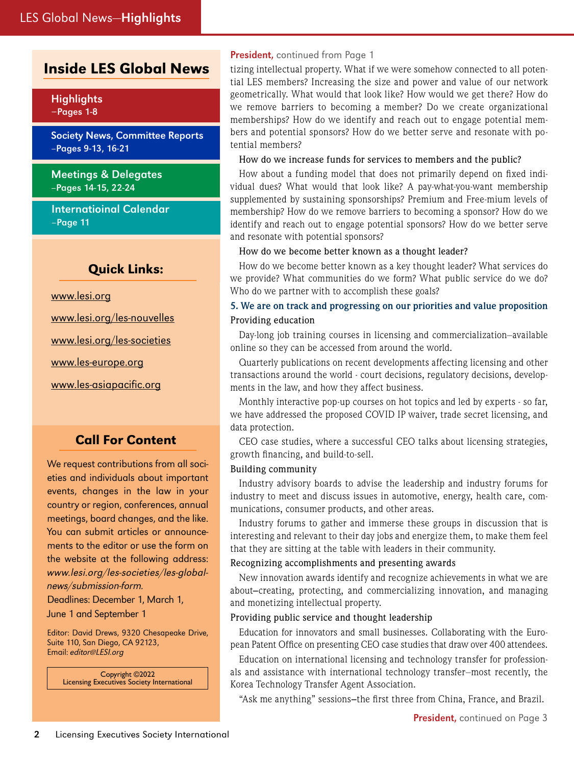# Inside LES Global News

Highlights –Pages 1-8

Society News, Committee Reports –Pages 9-13, 16-21

Meetings & Delegates –Pages 14-15, 22-24

Internatioinal Calendar –Page 11

## Quick Links:

[www.lesi.org](https://www.lesi.org/)

[www.lesi.org/les-nouvelles](https://www.lesi.org/publications/les-nouvelles/about-les-nouvelles)

[www.lesi.org/les-societies](http://www.lesi.org/societies/national-and-regional-societies)

[www.les-europe.org](https://www.lesi.org/search-results?indexCatalogue=site%2Dsearch&searchQuery=les+europe&wordsMode=0)

[www.les-asiapacific.org](https://www.lesi.org/search-results?indexCatalogue=site%2Dsearch&searchQuery=asia+pacific&wordsMode=0)

# Call For Content

We request contributions from all societies and individuals about important events, changes in the law in your country or region, conferences, annual meetings, board changes, and the like. You can submit articles or announcements to the editor or use the form on the website at the following address: [www.lesi.org/les-societies/les-global](http://www.lesi.org/les-societies/les-global-news/submission-form)[news/submission-form](http://www.lesi.org/les-societies/les-global-news/submission-form).

Deadlines: December 1, March 1,

June 1 and September 1

Editor: David Drews, 9320 Chesapeake Drive, Suite 110, San Diego, CA 92123, Email: <editor@LESI.org>

> Copyright ©2022 Licensing Executives Society International

#### President, continued from Page 1

tizing intellectual property. What if we were somehow connected to all potential LES members? Increasing the size and power and value of our network geometrically. What would that look like? How would we get there? How do we remove barriers to becoming a member? Do we create organizational memberships? How do we identify and reach out to engage potential members and potential sponsors? How do we better serve and resonate with potential members?

How do we increase funds for services to members and the public?

How about a funding model that does not primarily depend on fixed individual dues? What would that look like? A pay-what-you-want membership supplemented by sustaining sponsorships? Premium and Free-mium levels of membership? How do we remove barriers to becoming a sponsor? How do we identify and reach out to engage potential sponsors? How do we better serve and resonate with potential sponsors?

#### How do we become better known as a thought leader?

How do we become better known as a key thought leader? What services do we provide? What communities do we form? What public service do we do? Who do we partner with to accomplish these goals?

#### **5. We are on track and progressing on our priorities and value proposition** Providing education

Day-long job training courses in licensing and commercialization–available online so they can be accessed from around the world.

Quarterly publications on recent developments affecting licensing and other transactions around the world - court decisions, regulatory decisions, developments in the law, and how they affect business.

Monthly interactive pop-up courses on hot topics and led by experts - so far, we have addressed the proposed COVID IP waiver, trade secret licensing, and data protection.

CEO case studies, where a successful CEO talks about licensing strategies, growth financing, and build-to-sell.

#### Building community

Industry advisory boards to advise the leadership and industry forums for industry to meet and discuss issues in automotive, energy, health care, communications, consumer products, and other areas.

Industry forums to gather and immerse these groups in discussion that is interesting and relevant to their day jobs and energize them, to make them feel that they are sitting at the table with leaders in their community.

#### Recognizing accomplishments and presenting awards

New innovation awards identify and recognize achievements in what we are about**–**creating, protecting, and commercializing innovation, and managing and monetizing intellectual property.

#### Providing public service and thought leadership

Education for innovators and small businesses. Collaborating with the European Patent Office on presenting CEO case studies that draw over 400 attendees.

Education on international licensing and technology transfer for professionals and assistance with international technology transfer–most recently, the Korea Technology Transfer Agent Association.

"Ask me anything" sessions**–**the first three from China, France, and Brazil.